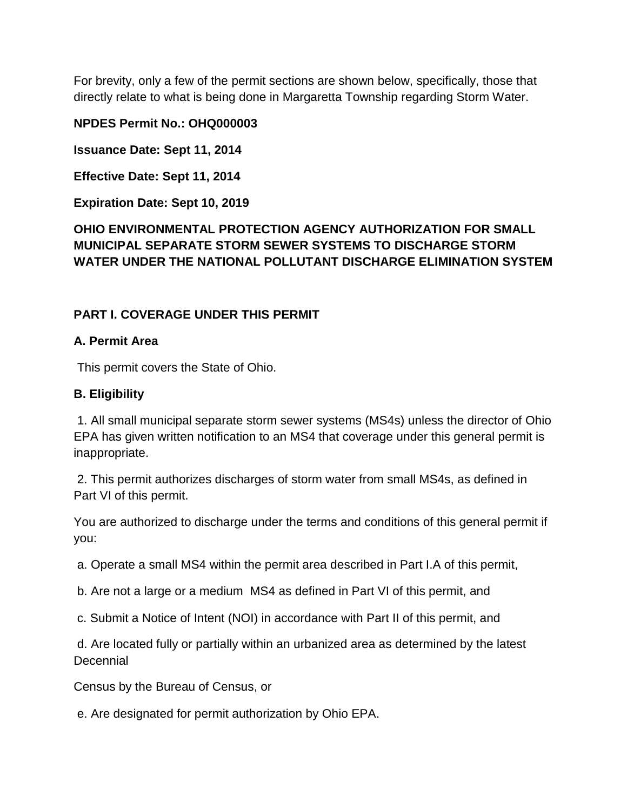For brevity, only a few of the permit sections are shown below, specifically, those that directly relate to what is being done in Margaretta Township regarding Storm Water.

### **NPDES Permit No.: OHQ000003**

**Issuance Date: Sept 11, 2014**

**Effective Date: Sept 11, 2014**

**Expiration Date: Sept 10, 2019**

## **OHIO ENVIRONMENTAL PROTECTION AGENCY AUTHORIZATION FOR SMALL MUNICIPAL SEPARATE STORM SEWER SYSTEMS TO DISCHARGE STORM WATER UNDER THE NATIONAL POLLUTANT DISCHARGE ELIMINATION SYSTEM**

### **PART I. COVERAGE UNDER THIS PERMIT**

### **A. Permit Area**

This permit covers the State of Ohio.

### **B. Eligibility**

1. All small municipal separate storm sewer systems (MS4s) unless the director of Ohio EPA has given written notification to an MS4 that coverage under this general permit is inappropriate.

2. This permit authorizes discharges of storm water from small MS4s, as defined in Part VI of this permit.

You are authorized to discharge under the terms and conditions of this general permit if you:

a. Operate a small MS4 within the permit area described in Part I.A of this permit,

b. Are not a large or a medium MS4 as defined in Part VI of this permit, and

c. Submit a Notice of Intent (NOI) in accordance with Part II of this permit, and

d. Are located fully or partially within an urbanized area as determined by the latest **Decennial** 

Census by the Bureau of Census, or

e. Are designated for permit authorization by Ohio EPA.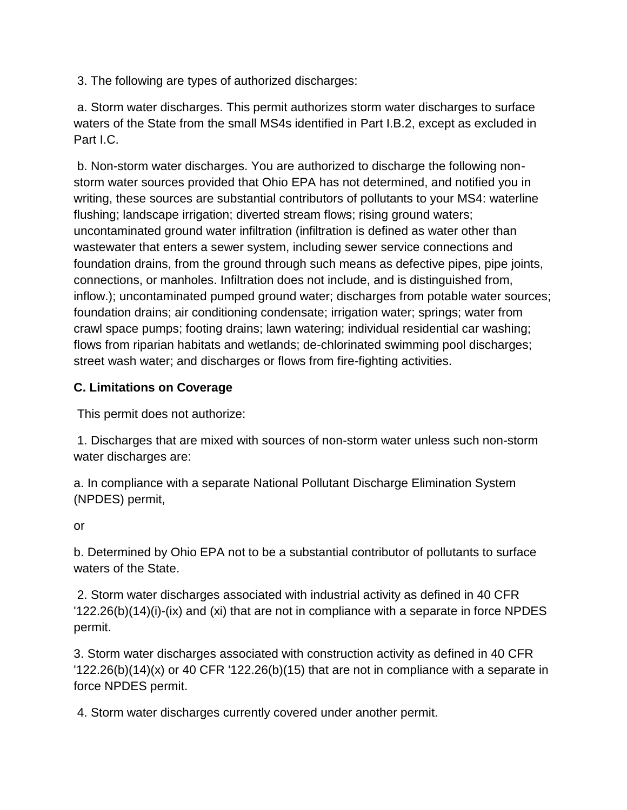3. The following are types of authorized discharges:

a. Storm water discharges. This permit authorizes storm water discharges to surface waters of the State from the small MS4s identified in Part I.B.2, except as excluded in Part I.C.

b. Non-storm water discharges. You are authorized to discharge the following nonstorm water sources provided that Ohio EPA has not determined, and notified you in writing, these sources are substantial contributors of pollutants to your MS4: waterline flushing; landscape irrigation; diverted stream flows; rising ground waters; uncontaminated ground water infiltration (infiltration is defined as water other than wastewater that enters a sewer system, including sewer service connections and foundation drains, from the ground through such means as defective pipes, pipe joints, connections, or manholes. Infiltration does not include, and is distinguished from, inflow.); uncontaminated pumped ground water; discharges from potable water sources; foundation drains; air conditioning condensate; irrigation water; springs; water from crawl space pumps; footing drains; lawn watering; individual residential car washing; flows from riparian habitats and wetlands; de-chlorinated swimming pool discharges; street wash water; and discharges or flows from fire-fighting activities.

## **C. Limitations on Coverage**

This permit does not authorize:

1. Discharges that are mixed with sources of non-storm water unless such non-storm water discharges are:

a. In compliance with a separate National Pollutant Discharge Elimination System (NPDES) permit,

or

b. Determined by Ohio EPA not to be a substantial contributor of pollutants to surface waters of the State.

2. Storm water discharges associated with industrial activity as defined in 40 CFR '122.26(b)(14)(i)-(ix) and (xi) that are not in compliance with a separate in force NPDES permit.

3. Storm water discharges associated with construction activity as defined in 40 CFR  $122.26(b)(14)(x)$  or 40 CFR  $122.26(b)(15)$  that are not in compliance with a separate in force NPDES permit.

4. Storm water discharges currently covered under another permit.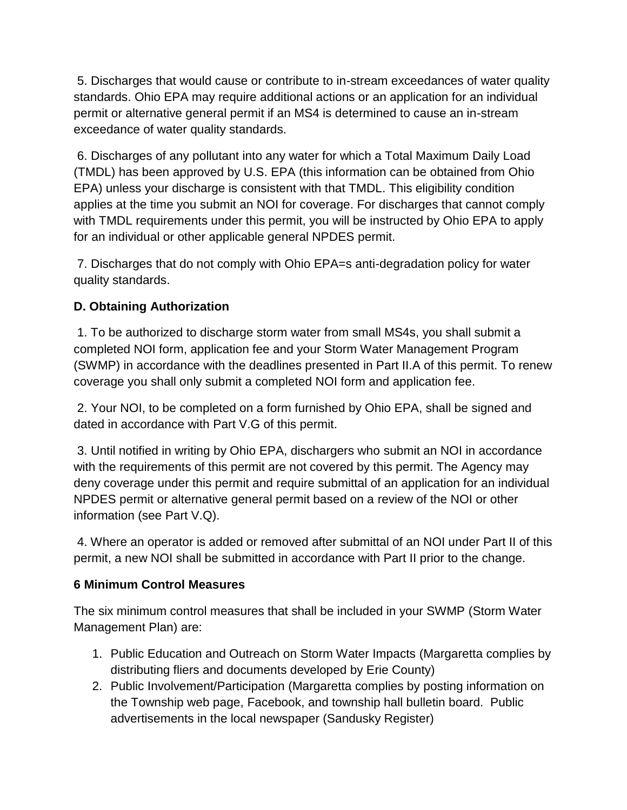5. Discharges that would cause or contribute to in-stream exceedances of water quality standards. Ohio EPA may require additional actions or an application for an individual permit or alternative general permit if an MS4 is determined to cause an in-stream exceedance of water quality standards.

6. Discharges of any pollutant into any water for which a Total Maximum Daily Load (TMDL) has been approved by U.S. EPA (this information can be obtained from Ohio EPA) unless your discharge is consistent with that TMDL. This eligibility condition applies at the time you submit an NOI for coverage. For discharges that cannot comply with TMDL requirements under this permit, you will be instructed by Ohio EPA to apply for an individual or other applicable general NPDES permit.

7. Discharges that do not comply with Ohio EPA=s anti-degradation policy for water quality standards.

## **D. Obtaining Authorization**

1. To be authorized to discharge storm water from small MS4s, you shall submit a completed NOI form, application fee and your Storm Water Management Program (SWMP) in accordance with the deadlines presented in Part II.A of this permit. To renew coverage you shall only submit a completed NOI form and application fee.

2. Your NOI, to be completed on a form furnished by Ohio EPA, shall be signed and dated in accordance with Part V.G of this permit.

3. Until notified in writing by Ohio EPA, dischargers who submit an NOI in accordance with the requirements of this permit are not covered by this permit. The Agency may deny coverage under this permit and require submittal of an application for an individual NPDES permit or alternative general permit based on a review of the NOI or other information (see Part V.Q).

4. Where an operator is added or removed after submittal of an NOI under Part II of this permit, a new NOI shall be submitted in accordance with Part II prior to the change.

## **6 Minimum Control Measures**

The six minimum control measures that shall be included in your SWMP (Storm Water Management Plan) are:

- 1. Public Education and Outreach on Storm Water Impacts (Margaretta complies by distributing fliers and documents developed by Erie County)
- 2. Public Involvement/Participation (Margaretta complies by posting information on the Township web page, Facebook, and township hall bulletin board. Public advertisements in the local newspaper (Sandusky Register)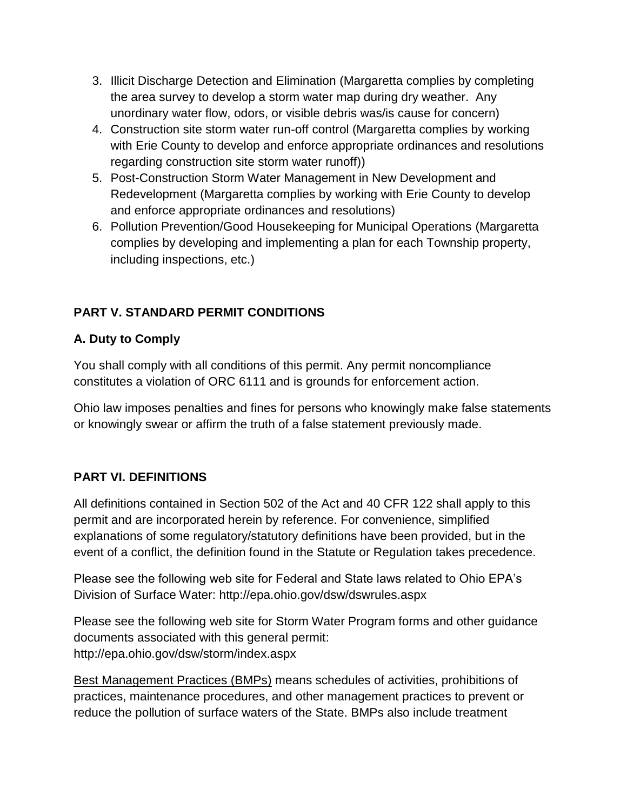- 3. Illicit Discharge Detection and Elimination (Margaretta complies by completing the area survey to develop a storm water map during dry weather. Any unordinary water flow, odors, or visible debris was/is cause for concern)
- 4. Construction site storm water run-off control (Margaretta complies by working with Erie County to develop and enforce appropriate ordinances and resolutions regarding construction site storm water runoff))
- 5. Post-Construction Storm Water Management in New Development and Redevelopment (Margaretta complies by working with Erie County to develop and enforce appropriate ordinances and resolutions)
- 6. Pollution Prevention/Good Housekeeping for Municipal Operations (Margaretta complies by developing and implementing a plan for each Township property, including inspections, etc.)

# **PART V. STANDARD PERMIT CONDITIONS**

## **A. Duty to Comply**

You shall comply with all conditions of this permit. Any permit noncompliance constitutes a violation of ORC 6111 and is grounds for enforcement action.

Ohio law imposes penalties and fines for persons who knowingly make false statements or knowingly swear or affirm the truth of a false statement previously made.

# **PART VI. DEFINITIONS**

All definitions contained in Section 502 of the Act and 40 CFR 122 shall apply to this permit and are incorporated herein by reference. For convenience, simplified explanations of some regulatory/statutory definitions have been provided, but in the event of a conflict, the definition found in the Statute or Regulation takes precedence.

Please see the following web site for Federal and State laws related to Ohio EPA's Division of Surface Water: http://epa.ohio.gov/dsw/dswrules.aspx

Please see the following web site for Storm Water Program forms and other guidance documents associated with this general permit: http://epa.ohio.gov/dsw/storm/index.aspx

Best Management Practices (BMPs) means schedules of activities, prohibitions of practices, maintenance procedures, and other management practices to prevent or reduce the pollution of surface waters of the State. BMPs also include treatment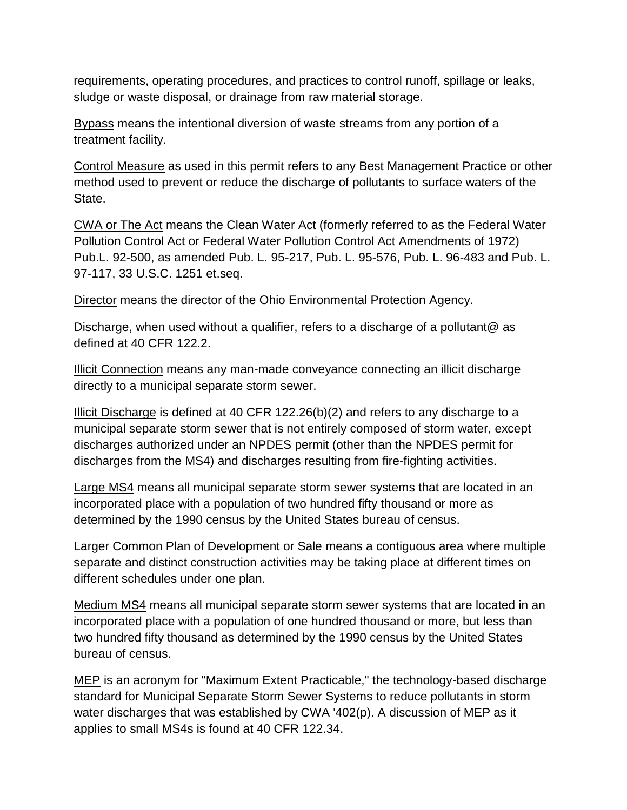requirements, operating procedures, and practices to control runoff, spillage or leaks, sludge or waste disposal, or drainage from raw material storage.

Bypass means the intentional diversion of waste streams from any portion of a treatment facility.

Control Measure as used in this permit refers to any Best Management Practice or other method used to prevent or reduce the discharge of pollutants to surface waters of the State.

CWA or The Act means the Clean Water Act (formerly referred to as the Federal Water Pollution Control Act or Federal Water Pollution Control Act Amendments of 1972) Pub.L. 92-500, as amended Pub. L. 95-217, Pub. L. 95-576, Pub. L. 96-483 and Pub. L. 97-117, 33 U.S.C. 1251 et.seq.

Director means the director of the Ohio Environmental Protection Agency.

Discharge, when used without a qualifier, refers to a discharge of a pollutant@ as defined at 40 CFR 122.2.

Illicit Connection means any man-made conveyance connecting an illicit discharge directly to a municipal separate storm sewer.

Illicit Discharge is defined at 40 CFR 122.26(b)(2) and refers to any discharge to a municipal separate storm sewer that is not entirely composed of storm water, except discharges authorized under an NPDES permit (other than the NPDES permit for discharges from the MS4) and discharges resulting from fire-fighting activities.

Large MS4 means all municipal separate storm sewer systems that are located in an incorporated place with a population of two hundred fifty thousand or more as determined by the 1990 census by the United States bureau of census.

Larger Common Plan of Development or Sale means a contiguous area where multiple separate and distinct construction activities may be taking place at different times on different schedules under one plan.

Medium MS4 means all municipal separate storm sewer systems that are located in an incorporated place with a population of one hundred thousand or more, but less than two hundred fifty thousand as determined by the 1990 census by the United States bureau of census.

MEP is an acronym for "Maximum Extent Practicable," the technology-based discharge standard for Municipal Separate Storm Sewer Systems to reduce pollutants in storm water discharges that was established by CWA '402(p). A discussion of MEP as it applies to small MS4s is found at 40 CFR 122.34.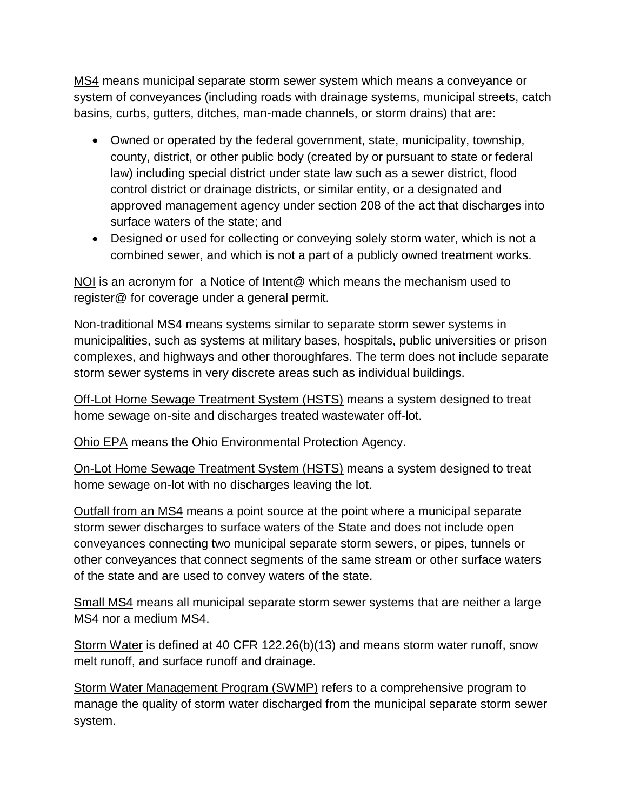MS4 means municipal separate storm sewer system which means a conveyance or system of conveyances (including roads with drainage systems, municipal streets, catch basins, curbs, gutters, ditches, man-made channels, or storm drains) that are:

- Owned or operated by the federal government, state, municipality, township, county, district, or other public body (created by or pursuant to state or federal law) including special district under state law such as a sewer district, flood control district or drainage districts, or similar entity, or a designated and approved management agency under section 208 of the act that discharges into surface waters of the state; and
- Designed or used for collecting or conveying solely storm water, which is not a combined sewer, and which is not a part of a publicly owned treatment works.

NOI is an acronym for a Notice of Intent@ which means the mechanism used to register@ for coverage under a general permit.

Non-traditional MS4 means systems similar to separate storm sewer systems in municipalities, such as systems at military bases, hospitals, public universities or prison complexes, and highways and other thoroughfares. The term does not include separate storm sewer systems in very discrete areas such as individual buildings.

Off-Lot Home Sewage Treatment System (HSTS) means a system designed to treat home sewage on-site and discharges treated wastewater off-lot.

Ohio EPA means the Ohio Environmental Protection Agency.

On-Lot Home Sewage Treatment System (HSTS) means a system designed to treat home sewage on-lot with no discharges leaving the lot.

Outfall from an MS4 means a point source at the point where a municipal separate storm sewer discharges to surface waters of the State and does not include open conveyances connecting two municipal separate storm sewers, or pipes, tunnels or other conveyances that connect segments of the same stream or other surface waters of the state and are used to convey waters of the state.

Small MS4 means all municipal separate storm sewer systems that are neither a large MS4 nor a medium MS4.

Storm Water is defined at 40 CFR 122.26(b)(13) and means storm water runoff, snow melt runoff, and surface runoff and drainage.

Storm Water Management Program (SWMP) refers to a comprehensive program to manage the quality of storm water discharged from the municipal separate storm sewer system.